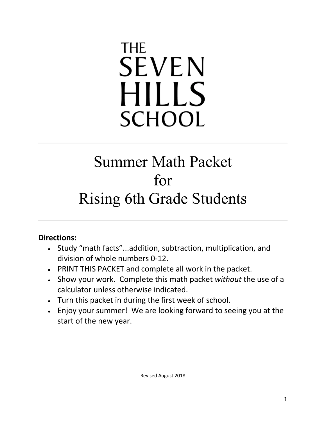# **THE SEVEN HILLS SCHOOL**

## Summer Math Packet for Rising 6th Grade Students

#### **Directions:**

- Study "math facts"...addition, subtraction, multiplication, and division of whole numbers 0-12.
- PRINT THIS PACKET and complete all work in the packet.
- Show your work. Complete this math packet *without* the use of a calculator unless otherwise indicated.
- Turn this packet in during the first week of school.
- Enjoy your summer! We are looking forward to seeing you at the start of the new year.

Revised August 2018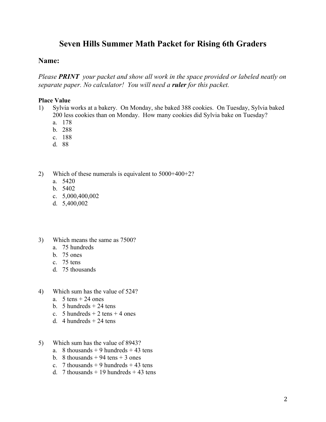#### **Seven Hills Summer Math Packet for Rising 6th Graders**

#### **Name:**

*Please PRINT your packet and show all work in the space provided or labeled neatly on separate paper. No calculator! You will need a ruler for this packet.*

#### **Place Value**

- 1) Sylvia works at a bakery. On Monday, she baked 388 cookies. On Tuesday, Sylvia baked 200 less cookies than on Monday. How many cookies did Sylvia bake on Tuesday?
	- a. 178
	- b. 288
	- c. 188
	- d. 88
- 2) Which of these numerals is equivalent to 5000+400+2?
	- a. 5420
	- b. 5402
	- c. 5,000,400,002
	- d. 5,400,002
- 3) Which means the same as 7500?
	- a. 75 hundreds
	- b. 75 ones
	- c. 75 tens
	- d. 75 thousands
- 4) Which sum has the value of 524?
	- a.  $5 \text{ tens} + 24 \text{ ones}$
	- b. 5 hundreds  $+24$  tens
	- c. 5 hundreds  $+ 2$  tens  $+ 4$  ones
	- d. 4 hundreds  $+$  24 tens
- 5) Which sum has the value of 8943?
	- a. 8 thousands  $+9$  hundreds  $+43$  tens
	- b. 8 thousands  $+94$  tens  $+3$  ones
	- c. 7 thousands  $+9$  hundreds  $+43$  tens
	- d. 7 thousands  $+19$  hundreds  $+43$  tens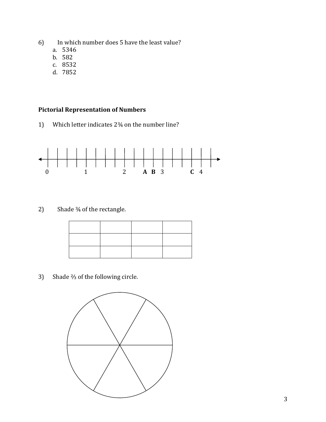- 6) In which number does 5 have the least value?
	- a. 5346
	- b. 582
	- c. 8532
	- d. 7852

#### **Pictorial Representation of Numbers**

1) Which letter indicates  $2\frac{3}{4}$  on the number line?



2) Shade  $\frac{3}{4}$  of the rectangle.

3) Shade  $\frac{2}{3}$  of the following circle.

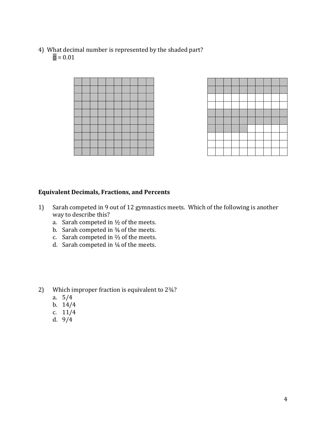4) What decimal number is represented by the shaded part?  $\Box = 0.01$ 





#### **Equivalent Decimals, Fractions, and Percents**

- 1) Sarah competed in 9 out of 12 gymnastics meets. Which of the following is another way to describe this?
	- a. Sarah competed in  $\frac{1}{2}$  of the meets.
	- b. Sarah competed in  $\frac{3}{4}$  of the meets.
	- c. Sarah competed in  $\frac{2}{3}$  of the meets.
	- d. Sarah competed in  $\frac{1}{4}$  of the meets.

2) Which improper fraction is equivalent to 234?

- a. 5/4
- b. 14/4
- c. 11/4
- d. 9/4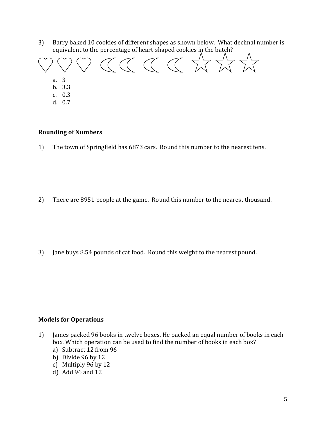3) Barry baked 10 cookies of different shapes as shown below. What decimal number is equivalent to the percentage of heart-shaped cookies in the batch?



d. 0.7

#### **Rounding of Numbers**

1) The town of Springfield has 6873 cars. Round this number to the nearest tens.

2) There are 8951 people at the game. Round this number to the nearest thousand.

3) Jane buys 8.54 pounds of cat food. Round this weight to the nearest pound.

#### **Models for Operations**

- 1) James packed 96 books in twelve boxes. He packed an equal number of books in each box. Which operation can be used to find the number of books in each box?
	- a) Subtract 12 from 96
	- b) Divide 96 by 12
	- c) Multiply 96 by 12
	- d) Add 96 and 12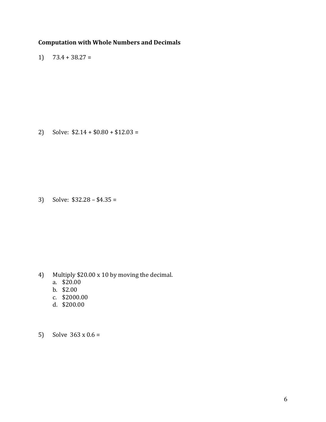#### **Computation with Whole Numbers and Decimals**

1)  $73.4 + 38.27 =$ 

2) Solve:  $$2.14 + $0.80 + $12.03 =$ 

3) Solve:  $$32.28 - $4.35 =$ 

- 4) Multiply \$20.00 x 10 by moving the decimal.
	- a. \$20.00
	- b. \$2.00
	- c. \$2000.00
	- d. \$200.00
- 5) Solve  $363 \times 0.6 =$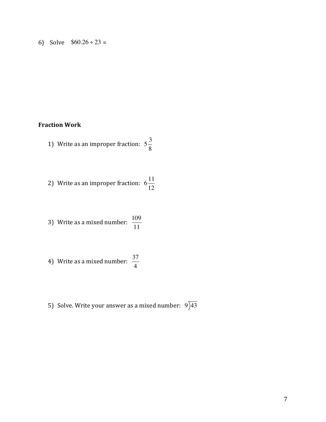6) Solve  $$60.26 \div 23 =$ 

#### **Fraction Work**

- 1) Write as an improper fraction:  $5\frac{3}{2}$ 8
- 2) Write as an improper fraction:  $6\frac{11}{12}$ 12

3) Write as a mixed number: 
$$
\frac{109}{11}
$$

4) Write as a mixed number: 
$$
\frac{37}{4}
$$

5) Solve. Write your answer as a mixed number:  $9)43$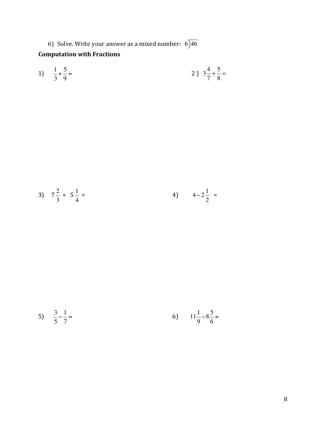6) Solve. Write your answer as a mixed number:  $6)46$ 

### **Computation with Fractions**

1) 
$$
\frac{1}{3} + \frac{5}{9} =
$$
 2)  $3\frac{4}{7} + \frac{5}{8} =$ 

3) 
$$
7\frac{2}{3} + 5\frac{1}{4} =
$$
 4)  $4-2\frac{1}{2} =$ 

5) 
$$
\frac{3}{5} - \frac{1}{7} =
$$
 6)  $11\frac{1}{9} - 8\frac{5}{6} =$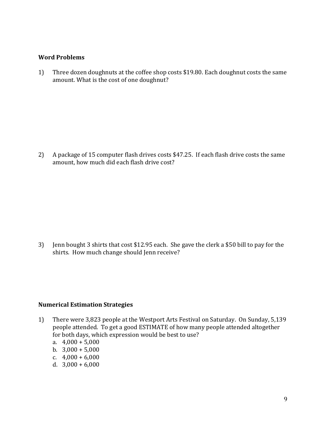#### **Word Problems**

1) Three dozen doughnuts at the coffee shop costs \$19.80. Each doughnut costs the same amount. What is the cost of one doughnut?

2) A package of 15 computer flash drives costs \$47.25. If each flash drive costs the same amount, how much did each flash drive cost?

3) Jenn bought 3 shirts that cost \$12.95 each. She gave the clerk a \$50 bill to pay for the shirts. How much change should Jenn receive?

#### **Numerical Estimation Strategies**

- 1) There were 3,823 people at the Westport Arts Festival on Saturday. On Sunday, 5,139 people attended. To get a good ESTIMATE of how many people attended altogether for both days, which expression would be best to use?
	- a.  $4,000 + 5,000$
	- b.  $3,000 + 5,000$
	- c.  $4,000 + 6,000$
	- d.  $3,000 + 6,000$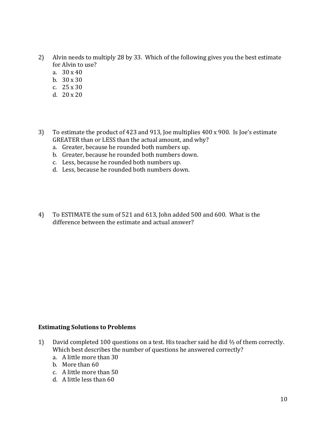- 2) Alvin needs to multiply 28 by 33. Which of the following gives you the best estimate for Alvin to use?
	- a.  $30 \times 40$
	- b.  $30 \times 30$
	- c.  $25 \times 30$
	- d.  $20 \times 20$
- 3) To estimate the product of 423 and 913, Joe multiplies 400 x 900. Is Joe's estimate GREATER than or LESS than the actual amount, and why?
	- a. Greater, because he rounded both numbers up.
	- b. Greater, because he rounded both numbers down.
	- c. Less, because he rounded both numbers up.
	- d. Less, because he rounded both numbers down.
- 4) To ESTIMATE the sum of 521 and 613, John added 500 and 600. What is the difference between the estimate and actual answer?

#### **Estimating Solutions to Problems**

- 1) David completed 100 questions on a test. His teacher said he did  $\frac{2}{3}$  of them correctly. Which best describes the number of questions he answered correctly?
	- a. A little more than 30
	- b. More than 60
	- c. A little more than 50
	- d. A little less than 60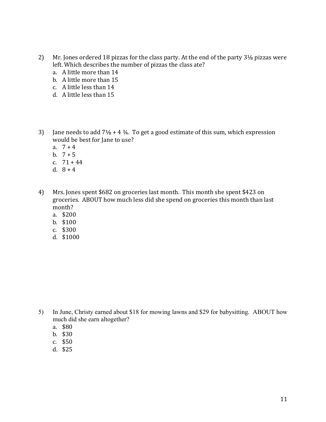- 2) Mr. Jones ordered 18 pizzas for the class party. At the end of the party 31/8 pizzas were left. Which describes the number of pizzas the class ate?
	- a. A little more than 14
	- b. A little more than 15
	- c. A little less than 14
	- d. A little less than 15
- 3) Jane needs to add  $7\frac{1}{8}$  + 4  $\frac{3}{4}$ . To get a good estimate of this sum, which expression would be best for Jane to use?
	- a.  $7 + 4$
	- b.  $7 + 5$
	- c.  $71 + 44$
	- d.  $8 + 4$
- 4) Mrs. Jones spent \$682 on groceries last month. This month she spent \$423 on groceries. ABOUT how much less did she spend on groceries this month than last month?
	- a. \$200
	- b. \$100
	- c. \$300
	- d. \$1000

- 5) In June, Christy earned about \$18 for mowing lawns and \$29 for babysitting. ABOUT how much did she earn altogether?
	- a. \$80
	- b. \$30
	- c. \$50
	- d. \$25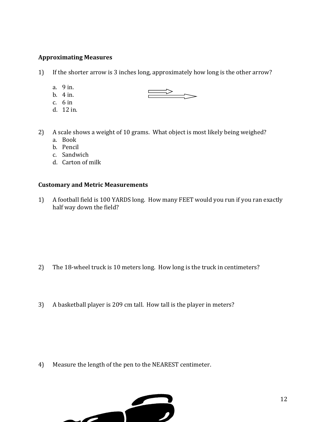#### **Approximating Measures**

1) If the shorter arrow is 3 inches long, approximately how long is the other arrow?

 $\implies$ 

- a. 9 in.
- b.  $4$  in.
- c.  $6$  in
- d. 12 in.
- 2) A scale shows a weight of 10 grams. What object is most likely being weighed?
	- a. Book
	- b. Pencil
	- c. Sandwich
	- d. Carton of milk

#### **Customary and Metric Measurements**

1) A football field is 100 YARDS long. How many FEET would you run if you ran exactly half way down the field?

- 2) The 18-wheel truck is 10 meters long. How long is the truck in centimeters?
- 3) A basketball player is 209 cm tall. How tall is the player in meters?

4) Measure the length of the pen to the NEAREST centimeter.

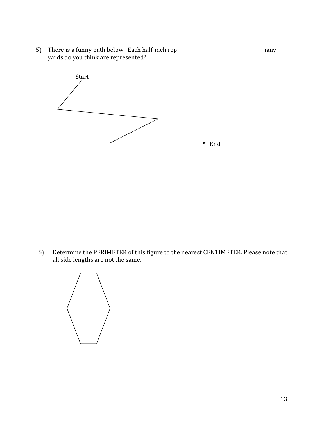5) There is a funny path below. Each half-inch rep **Example 20** any yards do you think are represented?



6) Determine the PERIMETER of this figure to the nearest CENTIMETER. Please note that all side lengths are not the same.

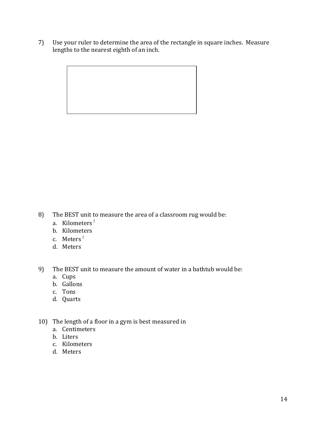7) Use your ruler to determine the area of the rectangle in square inches. Measure lengths to the nearest eighth of an inch.



- 8) The BEST unit to measure the area of a classroom rug would be:
	- a. Kilometers<sup>2</sup>
	- b. Kilometers
	- c. Meters<sup>2</sup>
	- d. Meters
- 9) The BEST unit to measure the amount of water in a bathtub would be:
	- a. Cups
	- b. Gallons
	- c. Tons
	- d. Quarts
- 10) The length of a floor in a gym is best measured in
	- a. Centimeters
	- b. Liters
	- c. Kilometers
	- d. Meters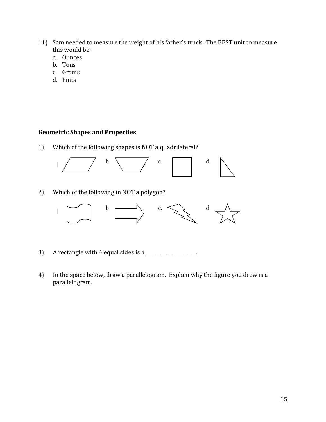- 11) Sam needed to measure the weight of his father's truck. The BEST unit to measure this would be:
	- a. Ounces
	- b. Tons
	- c. Grams
	- d. Pints

#### **Geometric Shapes and Properties**

1) Which of the following shapes is NOT a quadrilateral?



2) Which of the following in NOT a polygon?



- 3) A rectangle with 4 equal sides is a  $\Box$
- 4) In the space below, draw a parallelogram. Explain why the figure you drew is a parallelogram.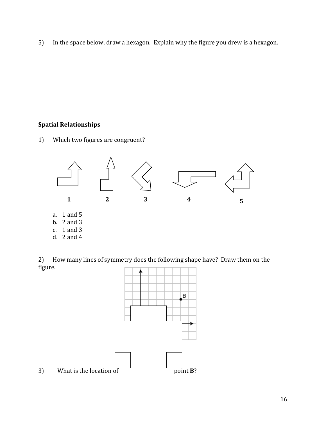5) In the space below, draw a hexagon. Explain why the figure you drew is a hexagon.

#### **Spatial Relationships**

1) Which two figures are congruent?



2) How many lines of symmetry does the following shape have? Draw them on the figure.

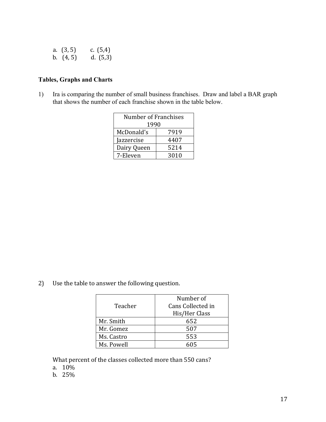| a. $(3, 5)$ | c. $(5,4)$ |
|-------------|------------|
| b. $(4, 5)$ | d. $(5,3)$ |

#### **Tables, Graphs and Charts**

1) Ira is comparing the number of small business franchises. Draw and label a BAR graph that shows the number of each franchise shown in the table below.

| Number of Franchises |      |  |
|----------------------|------|--|
| 1990                 |      |  |
| McDonald's           | 7919 |  |
| Jazzercise           | 4407 |  |
| Dairy Queen          | 5214 |  |
| 7-Eleven             | 3010 |  |

2) Use the table to answer the following question.

|            | Number of         |  |
|------------|-------------------|--|
| Teacher    | Cans Collected in |  |
|            | His/Her Class     |  |
| Mr. Smith  | 652               |  |
| Mr. Gomez  | 507               |  |
| Ms. Castro | 553               |  |
| Ms. Powell | հበ5               |  |

What percent of the classes collected more than 550 cans?

- a. 10%
- b. 25%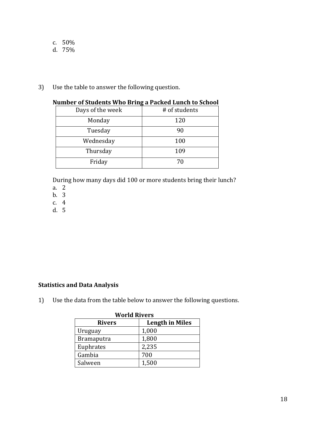- c. 50%
- d. 75%
- 3) Use the table to answer the following question.

| Number of Stauents Who bring a Fathed Eunth to School |               |
|-------------------------------------------------------|---------------|
| Days of the week                                      | # of students |
| Monday                                                | 120           |
| Tuesday                                               | 90            |
| Wednesday                                             | 100           |
| Thursday                                              | 109           |
| Friday                                                | 70            |

#### **Number of Students Who Bring a Packed Lunch to School**

During how many days did 100 or more students bring their lunch?

- a. 2
- b. 3
- c. 4
- d. 5

#### **Statistics and Data Analysis**

1) Use the data from the table below to answer the following questions.

| <b>World Rivers</b> |                        |  |
|---------------------|------------------------|--|
| <b>Rivers</b>       | <b>Length in Miles</b> |  |
| Uruguay             | 1,000                  |  |
| <b>Bramaputra</b>   | 1,800                  |  |
| Euphrates           | 2,235                  |  |
| Gambia              | 700                    |  |
| Salween             | 1,500                  |  |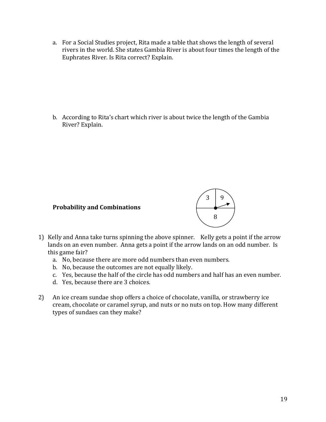a. For a Social Studies project, Rita made a table that shows the length of several rivers in the world. She states Gambia River is about four times the length of the Euphrates River. Is Rita correct? Explain.

b. According to Rita's chart which river is about twice the length of the Gambia River? Explain.

#### **Probability and Combinations**



- 1) Kelly and Anna take turns spinning the above spinner. Kelly gets a point if the arrow lands on an even number. Anna gets a point if the arrow lands on an odd number. Is this game fair?
	- a. No, because there are more odd numbers than even numbers.
	- b. No, because the outcomes are not equally likely.
	- c. Yes, because the half of the circle has odd numbers and half has an even number.
	- d. Yes, because there are 3 choices.
- 2) An ice cream sundae shop offers a choice of chocolate, vanilla, or strawberry ice cream, chocolate or caramel syrup, and nuts or no nuts on top. How many different types of sundaes can they make?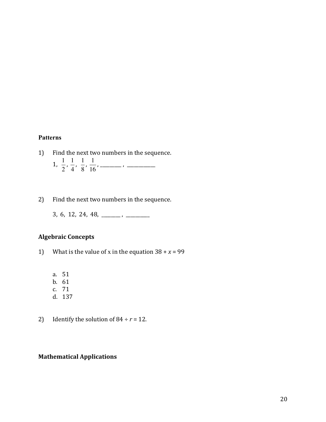#### **Patterns**

- 1) Find the next two numbers in the sequence.  $1, \frac{1}{2}, \frac{1}{3}, \frac{1}{4}, \frac{1}{5}, \frac{1}{5}, \dots$ 2 1 4 1 8 1 16
- 2) Find the next two numbers in the sequence.
	- $3, 6, 12, 24, 48, \_\_\_\_\_\_\_\_\$

#### **Algebraic Concepts**

- 1) What is the value of x in the equation  $38 + x = 99$ 
	- a. 51
	- b. 61
	- c. 71
	- d. 137
- 2) Identify the solution of  $84 \div r = 12$ .

#### **Mathematical Applications**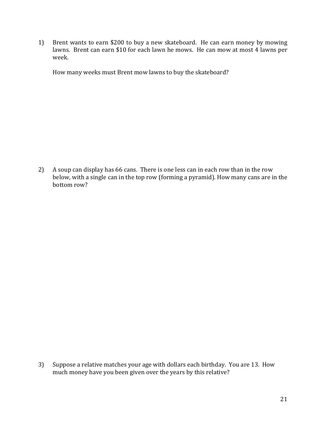1) Brent wants to earn \$200 to buy a new skateboard. He can earn money by mowing lawns. Brent can earn \$10 for each lawn he mows. He can mow at most 4 lawns per week. 

How many weeks must Brent mow lawns to buy the skateboard?

2) A soup can display has 66 cans. There is one less can in each row than in the row below, with a single can in the top row (forming a pyramid). How many cans are in the bottom row?

3) Suppose a relative matches your age with dollars each birthday. You are 13. How much money have you been given over the years by this relative?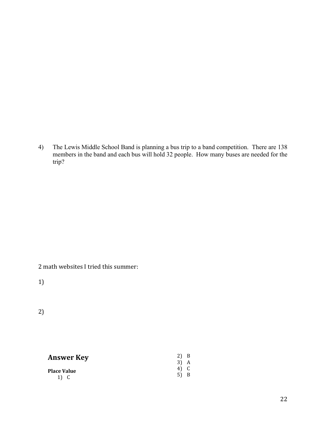4) The Lewis Middle School Band is planning a bus trip to a band competition. There are 138 members in the band and each bus will hold 32 people. How many buses are needed for the trip?

2 math websites I tried this summer:

1)

2)

| <b>Answer Key</b>  | 2)<br>$3)$ A | B |
|--------------------|--------------|---|
| <b>Place Value</b> | 4) C<br>5) B |   |
| 1) C               |              |   |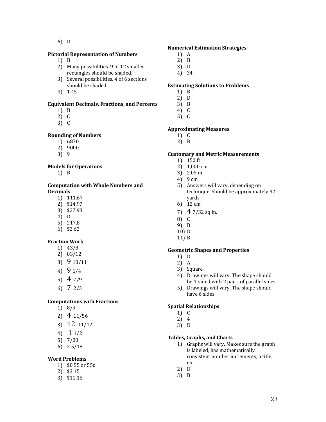6) D

#### **Pictorial Representation of Numbers**

#### 1) B

- 2) Many possibilities. 9 of 12 smaller rectangles should be shaded.
- 3) Several possibilities. 4 of 6 sections should be shaded.
- 4) 1.45

#### **Equivalent Decimals, Fractions, and Percents**

- 1) B
- 2) C
- 3) C

#### **Rounding of Numbers**

- 1) 6870
- 2) 9000
- 3) 9

#### **Models for Operations**

1) B

#### **Computation with Whole Numbers and Decimals**

- 1) 111.67
- 2) \$14.97
- 3) \$27.93
- 4) D
- 5) 217.8 6) \$2.62

#### **Fraction Work**

- 1) 43/8 2) 83/12
- 3) 9 10/11
- 4) 9 1/4
- 5) 4 7/9
- 
- 6) 7 2/3

#### **Computations with Fractions**

- 1) 8/9
- 2) 4 11/56
- 3) 12 11/12
- 4) 1 1/2
- 5) 7/20
- 6) 2 5/18

#### **Word Problems**

- 1)  $$0.55$  or  $55¢$
- 2) \$3.15
- 3) \$11.15

#### **Numerical Estimation Strategies**

- 1) A
- 2) B
- 3) D
- 4) 34

#### **Estimating Solutions to Problems**

- 1) B
- 2) D
- 3) B 4) C
- 5) C

#### **Approximating Measures**

- 1) C
- 2) B

#### **Customary and Metric Measurements**

- $1)$  150 ft
- 2) 1,000 cm
- 3) 2.09 m
- 4) 9 cm
- 5) Answers will vary, depending on technique. Should be approximately 32 yards.
- 6) 12 cm
- 7)  $47/32$  sq in.
- 8) C
- 9) B
- 10) D
- 11) B

#### **Geometric Shapes and Properties**

- 1) D
- 2) A
- 3) Square
- 4) Drawings will vary. The shape should be 4-sided with 2 pairs of parallel sides.
- 5) Drawings will vary. The shape should have 6 sides.

#### **Spatial Relationships**

- 1) C
- 2) 4
- 3) D

#### **Tables, Graphs, and Charts**

- 1) Graphs will vary. Makes sure the graph is labeled, has mathematically consistent number increments, a title, etc.
- 2) D
- $3$  B